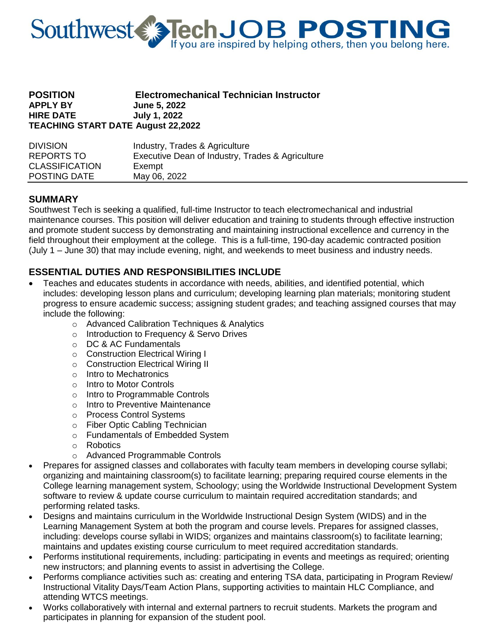

### **POSITION Electromechanical Technician Instructor APPLY BY June 5, 2022 HIRE DATE July 1, 2022 TEACHING START DATE August 22,2022**

| <b>DIVISION</b>       | Industry, Trades & Agriculture                   |
|-----------------------|--------------------------------------------------|
| REPORTS TO            | Executive Dean of Industry, Trades & Agriculture |
| <b>CLASSIFICATION</b> | Exempt                                           |
| POSTING DATE          | May 06, 2022                                     |

### **SUMMARY**

Southwest Tech is seeking a qualified, full-time Instructor to teach electromechanical and industrial maintenance courses. This position will deliver education and training to students through effective instruction and promote student success by demonstrating and maintaining instructional excellence and currency in the field throughout their employment at the college. This is a full-time, 190-day academic contracted position (July 1 – June 30) that may include evening, night, and weekends to meet business and industry needs.

## **ESSENTIAL DUTIES AND RESPONSIBILITIES INCLUDE**

- Teaches and educates students in accordance with needs, abilities, and identified potential, which includes: developing lesson plans and curriculum; developing learning plan materials; monitoring student progress to ensure academic success; assigning student grades; and teaching assigned courses that may include the following:
	- o Advanced Calibration Techniques & Analytics
	- o Introduction to Frequency & Servo Drives
	- o DC & AC Fundamentals
	- o Construction Electrical Wiring I
	- o Construction Electrical Wiring II
	- o Intro to Mechatronics
	- o Intro to Motor Controls
	- o Intro to Programmable Controls
	- o Intro to Preventive Maintenance
	- o Process Control Systems
	- o Fiber Optic Cabling Technician
	- o Fundamentals of Embedded System
	- o Robotics
	- o Advanced Programmable Controls
- Prepares for assigned classes and collaborates with faculty team members in developing course syllabi; organizing and maintaining classroom(s) to facilitate learning; preparing required course elements in the College learning management system, Schoology; using the Worldwide Instructional Development System software to review & update course curriculum to maintain required accreditation standards; and performing related tasks.
- Designs and maintains curriculum in the Worldwide Instructional Design System (WIDS) and in the Learning Management System at both the program and course levels. Prepares for assigned classes, including: develops course syllabi in WIDS; organizes and maintains classroom(s) to facilitate learning; maintains and updates existing course curriculum to meet required accreditation standards.
- Performs institutional requirements, including: participating in events and meetings as required; orienting new instructors; and planning events to assist in advertising the College.
- Performs compliance activities such as: creating and entering TSA data, participating in Program Review/ Instructional Vitality Days/Team Action Plans, supporting activities to maintain HLC Compliance, and attending WTCS meetings.
- Works collaboratively with internal and external partners to recruit students. Markets the program and participates in planning for expansion of the student pool.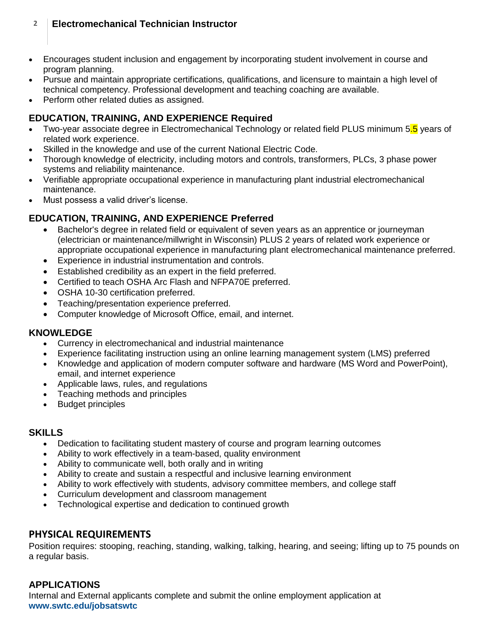## **2 Electromechanical Technician Instructor**

- Encourages student inclusion and engagement by incorporating student involvement in course and program planning.
- Pursue and maintain appropriate certifications, qualifications, and licensure to maintain a high level of technical competency. Professional development and teaching coaching are available.
- Perform other related duties as assigned.

# **EDUCATION, TRAINING, AND EXPERIENCE Required**

- Two-year associate degree in Electromechanical Technology or related field PLUS minimum 5.5 years of related work experience.
- Skilled in the knowledge and use of the current National Electric Code.
- Thorough knowledge of electricity, including motors and controls, transformers, PLCs, 3 phase power systems and reliability maintenance.
- Verifiable appropriate occupational experience in manufacturing plant industrial electromechanical maintenance.
- Must possess a valid driver's license.

# **EDUCATION, TRAINING, AND EXPERIENCE Preferred**

- Bachelor's degree in related field or equivalent of seven years as an apprentice or journeyman (electrician or maintenance/millwright in Wisconsin) PLUS 2 years of related work experience or appropriate occupational experience in manufacturing plant electromechanical maintenance preferred.
- Experience in industrial instrumentation and controls.
- Established credibility as an expert in the field preferred.
- Certified to teach OSHA Arc Flash and NFPA70E preferred.
- OSHA 10-30 certification preferred.
- Teaching/presentation experience preferred.
- Computer knowledge of Microsoft Office, email, and internet.

## **KNOWLEDGE**

- Currency in electromechanical and industrial maintenance
- Experience facilitating instruction using an online learning management system (LMS) preferred
- Knowledge and application of modern computer software and hardware (MS Word and PowerPoint), email, and internet experience
- Applicable laws, rules, and regulations
- Teaching methods and principles
- Budget principles

## **SKILLS**

- Dedication to facilitating student mastery of course and program learning outcomes
- Ability to work effectively in a team-based, quality environment
- Ability to communicate well, both orally and in writing
- Ability to create and sustain a respectful and inclusive learning environment
- Ability to work effectively with students, advisory committee members, and college staff
- Curriculum development and classroom management
- Technological expertise and dedication to continued growth

## **PHYSICAL REQUIREMENTS**

Position requires: stooping, reaching, standing, walking, talking, hearing, and seeing; lifting up to 75 pounds on a regular basis.

## **APPLICATIONS**

Internal and External applicants complete and submit the online employment application at **[www.swtc.edu/jobsatswtc](https://www.swtc.edu/about/job-opportunities)**